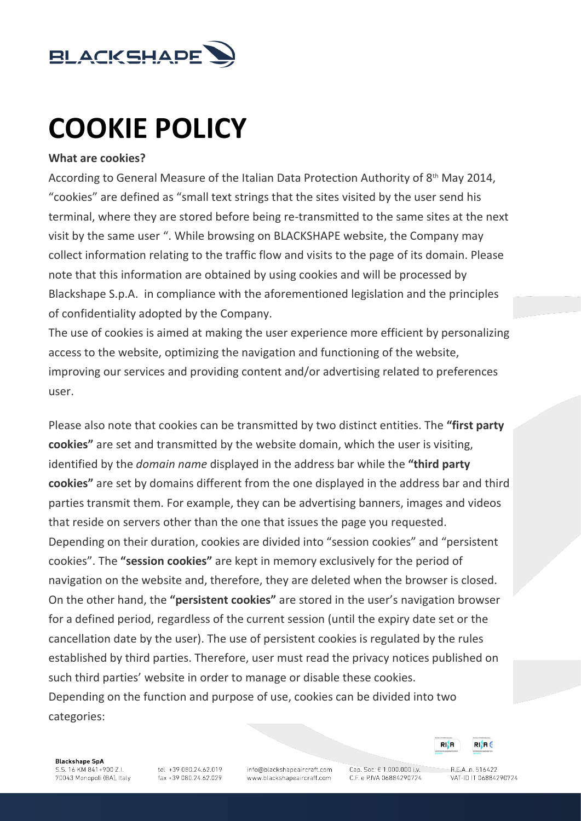

# **COOKIE POLICY**

#### **What are cookies?**

According to General Measure of the Italian Data Protection Authority of 8<sup>th</sup> May 2014, "cookies" are defined as "small text strings that the sites visited by the user send his terminal, where they are stored before being re-transmitted to the same sites at the next visit by the same user ". While browsing on BLACKSHAPE website, the Company may collect information relating to the traffic flow and visits to the page of its domain. Please note that this information are obtained by using cookies and will be processed by Blackshape S.p.A. in compliance with the aforementioned legislation and the principles of confidentiality adopted by the Company.

The use of cookies is aimed at making the user experience more efficient by personalizing access to the website, optimizing the navigation and functioning of the website, improving our services and providing content and/or advertising related to preferences user.

Please also note that cookies can be transmitted by two distinct entities. The **"first party cookies"** are set and transmitted by the website domain, which the user is visiting, identified by the *domain name* displayed in the address bar while the **"third party cookies"** are set by domains different from the one displayed in the address bar and third parties transmit them. For example, they can be advertising banners, images and videos that reside on servers other than the one that issues the page you requested. Depending on their duration, cookies are divided into "session cookies" and "persistent cookies". The **"session cookies"** are kept in memory exclusively for the period of navigation on the website and, therefore, they are deleted when the browser is closed. On the other hand, the **"persistent cookies"** are stored in the user's navigation browser for a defined period, regardless of the current session (until the expiry date set or the cancellation date by the user). The use of persistent cookies is regulated by the rules established by third parties. Therefore, user must read the privacy notices published on such third parties' website in order to manage or disable these cookies. Depending on the function and purpose of use, cookies can be divided into two categories:

**Blackshape SpA** S.S. 16 KM 841+900 Z.I. 70043 Monopoli (BA), Italy

tel +39 080.24.62.019 fax +39 080.24.62.029 info@blackshapeaircraft.com www.blackshapeaircraft.com

Cap. Soc. € 1.000.000 i.v. C.F. e P.IVA 06884290724

 $RIAB6$ 

RISR

 $RFA$ n 516422 VAT-ID IT 06884290724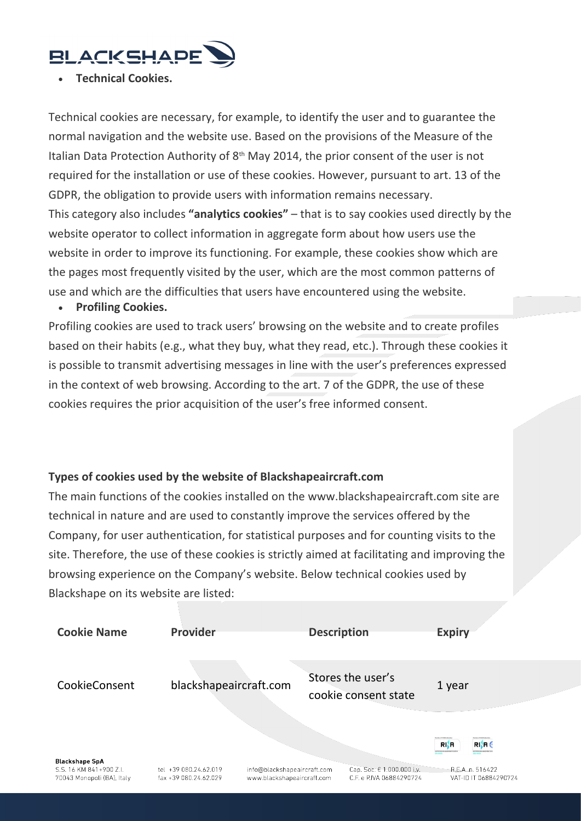# **BLACKSHAPE**

#### • **Technical Cookies.**

Technical cookies are necessary, for example, to identify the user and to guarantee the normal navigation and the website use. Based on the provisions of the Measure of the Italian Data Protection Authority of  $8<sup>th</sup>$  May 2014, the prior consent of the user is not required for the installation or use of these cookies. However, pursuant to art. 13 of the GDPR, the obligation to provide users with information remains necessary. This category also includes **"analytics cookies"** – that is to say cookies used directly by the website operator to collect information in aggregate form about how users use the website in order to improve its functioning. For example, these cookies show which are the pages most frequently visited by the user, which are the most common patterns of use and which are the difficulties that users have encountered using the website.

#### • **Profiling Cookies.**

Profiling cookies are used to track users' browsing on the website and to create profiles based on their habits (e.g., what they buy, what they read, etc.). Through these cookies it is possible to transmit advertising messages in line with the user's preferences expressed in the context of web browsing. According to the art. 7 of the GDPR, the use of these cookies requires the prior acquisition of the user's free informed consent.

# **Types of cookies used by the website of Blackshapeaircraft.com**

The main functions of the cookies installed on the www.blackshapeaircraft.com site are technical in nature and are used to constantly improve the services offered by the Company, for user authentication, for statistical purposes and for counting visits to the site. Therefore, the use of these cookies is strictly aimed at facilitating and improving the browsing experience on the Company's website. Below technical cookies used by Blackshape on its website are listed:

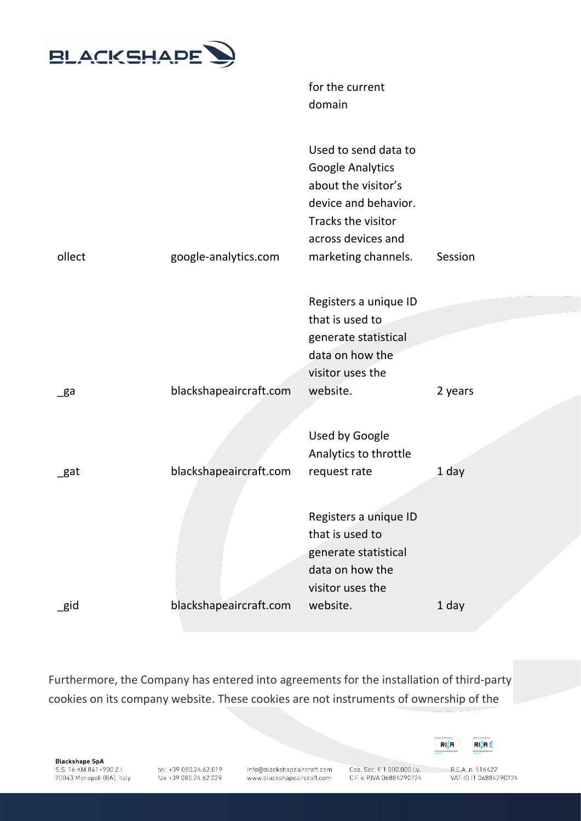

for the current domain

| ollect   | google-analytics.com   | Used to send data to<br><b>Google Analytics</b><br>about the visitor's<br>device and behavior.<br>Tracks the visitor<br>across devices and<br>marketing channels. | Session |
|----------|------------------------|-------------------------------------------------------------------------------------------------------------------------------------------------------------------|---------|
|          |                        | Registers a unique ID                                                                                                                                             |         |
|          |                        | that is used to                                                                                                                                                   |         |
|          |                        | generate statistical                                                                                                                                              |         |
|          |                        | data on how the                                                                                                                                                   |         |
|          |                        | visitor uses the                                                                                                                                                  |         |
| _ga      | blackshapeaircraft.com | website.                                                                                                                                                          | 2 years |
|          |                        |                                                                                                                                                                   |         |
|          |                        | Used by Google                                                                                                                                                    |         |
|          |                        | Analytics to throttle                                                                                                                                             |         |
| _gat     | blackshapeaircraft.com | request rate                                                                                                                                                      | 1 day   |
|          |                        |                                                                                                                                                                   |         |
|          |                        | Registers a unique ID                                                                                                                                             |         |
|          |                        | that is used to                                                                                                                                                   |         |
|          |                        | generate statistical                                                                                                                                              |         |
|          |                        | data on how the                                                                                                                                                   |         |
|          | blackshapeaircraft.com | visitor uses the<br>website.                                                                                                                                      |         |
| $\_$ gid |                        |                                                                                                                                                                   | 1 day   |

Furthermore, the Company has entered into agreements for the installation of third-party cookies on its company website. These cookies are not instruments of ownership of the

**Blackshape SpA** S.S. 16 KM 841+900 Z.I. 70043 Monopoli (BA), Italy

tel +39 080.24.62.019 fax +39 080.24.62.029

info@blackshapeaircraft.com www.blackshapeaircraft.com

Cap. Soc. € 1.000.000 i.v. C.F. e P.IVA 06884290724



 $R.E.A.n. 516422$ VAT-ID IT 06884290724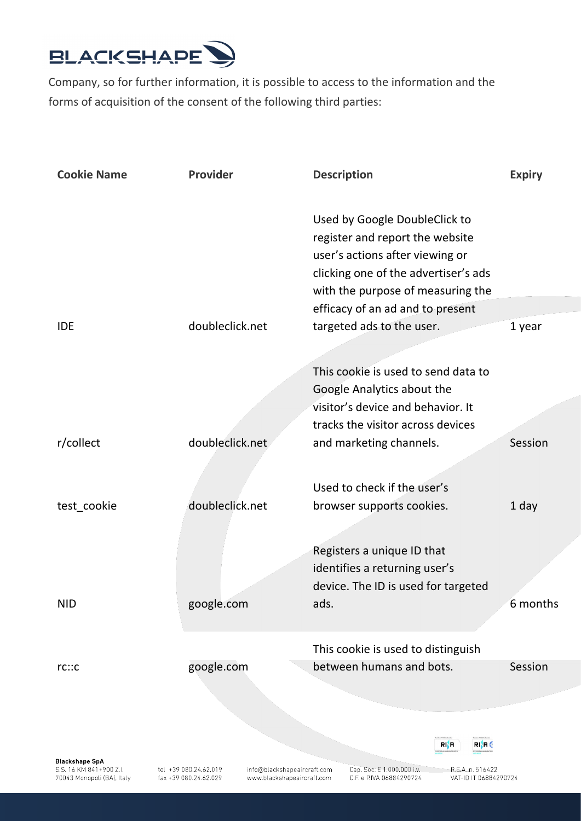

Company, so for further information, it is possible to access to the information and the forms of acquisition of the consent of the following third parties:

| <b>Cookie Name</b>                                                             | Provider                                                                                                    | <b>Description</b>                                                                                                                                                                                                   | <b>Expiry</b>                             |
|--------------------------------------------------------------------------------|-------------------------------------------------------------------------------------------------------------|----------------------------------------------------------------------------------------------------------------------------------------------------------------------------------------------------------------------|-------------------------------------------|
|                                                                                |                                                                                                             | Used by Google DoubleClick to<br>register and report the website<br>user's actions after viewing or<br>clicking one of the advertiser's ads<br>with the purpose of measuring the<br>efficacy of an ad and to present |                                           |
| <b>IDE</b>                                                                     | doubleclick.net                                                                                             | targeted ads to the user.                                                                                                                                                                                            | 1 year                                    |
|                                                                                |                                                                                                             | This cookie is used to send data to                                                                                                                                                                                  |                                           |
|                                                                                |                                                                                                             | Google Analytics about the                                                                                                                                                                                           |                                           |
|                                                                                |                                                                                                             | visitor's device and behavior. It                                                                                                                                                                                    |                                           |
|                                                                                |                                                                                                             | tracks the visitor across devices                                                                                                                                                                                    |                                           |
| r/collect                                                                      | doubleclick.net.                                                                                            | and marketing channels.                                                                                                                                                                                              | Session                                   |
|                                                                                |                                                                                                             |                                                                                                                                                                                                                      |                                           |
|                                                                                |                                                                                                             | Used to check if the user's                                                                                                                                                                                          |                                           |
| test_cookie                                                                    | doubleclick.net                                                                                             | browser supports cookies.                                                                                                                                                                                            | 1 day                                     |
|                                                                                |                                                                                                             | Registers a unique ID that                                                                                                                                                                                           |                                           |
|                                                                                |                                                                                                             | identifies a returning user's                                                                                                                                                                                        |                                           |
|                                                                                |                                                                                                             | device. The ID is used for targeted                                                                                                                                                                                  |                                           |
| <b>NID</b>                                                                     | google.com                                                                                                  | ads.                                                                                                                                                                                                                 | 6 months                                  |
|                                                                                |                                                                                                             |                                                                                                                                                                                                                      |                                           |
|                                                                                |                                                                                                             | This cookie is used to distinguish                                                                                                                                                                                   |                                           |
| rc::c                                                                          | google.com                                                                                                  | between humans and bots.                                                                                                                                                                                             | Session                                   |
|                                                                                |                                                                                                             |                                                                                                                                                                                                                      |                                           |
|                                                                                |                                                                                                             |                                                                                                                                                                                                                      |                                           |
|                                                                                |                                                                                                             |                                                                                                                                                                                                                      |                                           |
|                                                                                |                                                                                                             | RIN                                                                                                                                                                                                                  | RI}R€                                     |
| <b>Blackshape SpA</b><br>S.S. 16 KM 841+900 Z.I.<br>70043 Monopoli (BA), Italy | tel +39 080.24.62.019<br>info@blackshapeaircraft.com<br>fax +39 080.24.62.029<br>www.blackshapeaircraft.com | Cap. Soc. € 1.000.000 i.v.<br>C.F. e P.IVA 06884290724                                                                                                                                                               | R.E.A. n. 516422<br>VAT-ID IT 06884290724 |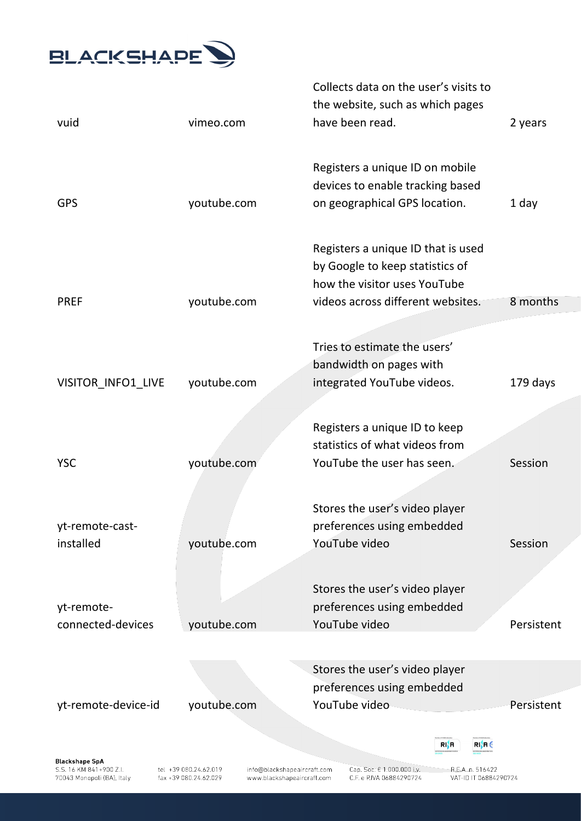

|                                                                                |                                                                                                             | Collects data on the user's visits to                  |                                           |            |
|--------------------------------------------------------------------------------|-------------------------------------------------------------------------------------------------------------|--------------------------------------------------------|-------------------------------------------|------------|
| vuid                                                                           | vimeo.com                                                                                                   | the website, such as which pages<br>have been read.    |                                           | 2 years    |
|                                                                                |                                                                                                             | Registers a unique ID on mobile                        |                                           |            |
|                                                                                |                                                                                                             | devices to enable tracking based                       |                                           |            |
| <b>GPS</b>                                                                     | youtube.com                                                                                                 | on geographical GPS location.                          |                                           | 1 day      |
|                                                                                |                                                                                                             | Registers a unique ID that is used                     |                                           |            |
|                                                                                |                                                                                                             | by Google to keep statistics of                        |                                           |            |
|                                                                                |                                                                                                             | how the visitor uses YouTube                           |                                           |            |
| <b>PREF</b>                                                                    | youtube.com                                                                                                 | videos across different websites.                      |                                           | 8 months   |
|                                                                                |                                                                                                             | Tries to estimate the users'                           |                                           |            |
|                                                                                |                                                                                                             | bandwidth on pages with                                |                                           |            |
| VISITOR_INFO1_LIVE                                                             | youtube.com                                                                                                 | integrated YouTube videos.                             |                                           | 179 days   |
|                                                                                |                                                                                                             |                                                        |                                           |            |
|                                                                                |                                                                                                             | Registers a unique ID to keep                          |                                           |            |
|                                                                                |                                                                                                             | statistics of what videos from                         |                                           |            |
| <b>YSC</b>                                                                     | youtube.com                                                                                                 | YouTube the user has seen.                             |                                           | Session    |
|                                                                                |                                                                                                             |                                                        |                                           |            |
|                                                                                |                                                                                                             | Stores the user's video player                         |                                           |            |
| yt-remote-cast-                                                                |                                                                                                             | preferences using embedded                             |                                           |            |
| installed                                                                      | youtube.com                                                                                                 | YouTube video                                          |                                           | Session    |
|                                                                                |                                                                                                             | Stores the user's video player                         |                                           |            |
| yt-remote-                                                                     |                                                                                                             | preferences using embedded                             |                                           |            |
| connected-devices                                                              | youtube.com                                                                                                 | YouTube video                                          |                                           | Persistent |
|                                                                                |                                                                                                             |                                                        |                                           |            |
|                                                                                |                                                                                                             | Stores the user's video player                         |                                           |            |
|                                                                                |                                                                                                             | preferences using embedded                             |                                           |            |
| yt-remote-device-id                                                            | youtube.com                                                                                                 | YouTube video                                          |                                           | Persistent |
|                                                                                |                                                                                                             |                                                        | RIN<br>RI}A (                             |            |
| <b>Blackshape SpA</b><br>S.S. 16 KM 841+900 Z.I.<br>70043 Monopoli (BA), Italy | tel +39 080.24.62.019<br>info@blackshapeaircraft.com<br>fax +39 080.24.62.029<br>www.blackshapeaircraft.com | Cap. Soc. € 1.000.000 i.v.<br>C.F. e P.IVA 06884290724 | R.E.A. n. 516422<br>VAT-ID IT 06884290724 |            |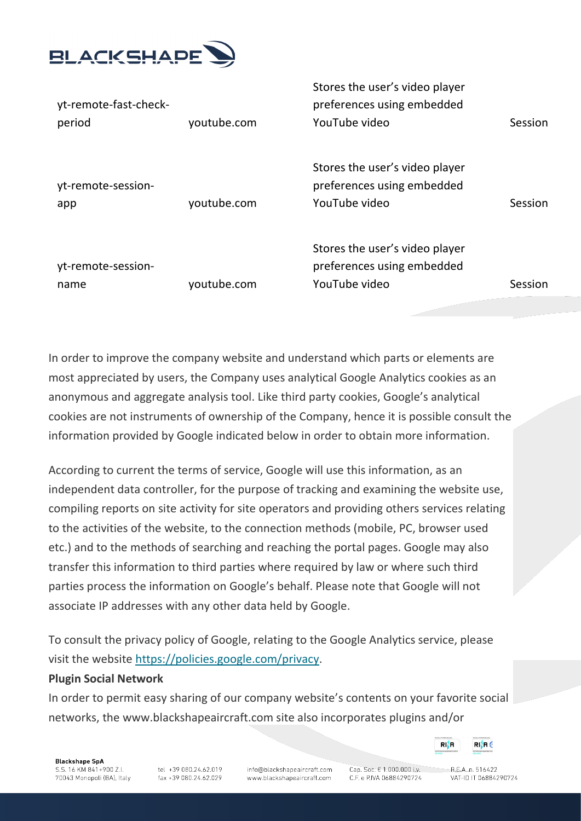

| yt-remote-fast-check-      |             | Stores the user's video player<br>preferences using embedded                  |         |
|----------------------------|-------------|-------------------------------------------------------------------------------|---------|
| period                     | youtube.com | YouTube video                                                                 | Session |
| yt-remote-session-<br>app  | youtube.com | Stores the user's video player<br>preferences using embedded<br>YouTube video | Session |
| yt-remote-session-<br>name | youtube.com | Stores the user's video player<br>preferences using embedded<br>YouTube video | Session |

In order to improve the company website and understand which parts or elements are most appreciated by users, the Company uses analytical Google Analytics cookies as an anonymous and aggregate analysis tool. Like third party cookies, Google's analytical cookies are not instruments of ownership of the Company, hence it is possible consult the information provided by Google indicated below in order to obtain more information.

According to current the terms of service, Google will use this information, as an independent data controller, for the purpose of tracking and examining the website use, compiling reports on site activity for site operators and providing others services relating to the activities of the website, to the connection methods (mobile, PC, browser used etc.) and to the methods of searching and reaching the portal pages. Google may also transfer this information to third parties where required by law or where such third parties process the information on Google's behalf. Please note that Google will not associate IP addresses with any other data held by Google.

To consult the privacy policy of Google, relating to the Google Analytics service, please visit the website [https://policies.google.com/privacy.](https://policies.google.com/privacy)

#### **Plugin Social Network**

In order to permit easy sharing of our company website's contents on your favorite social networks, the www.blackshapeaircraft.com site also incorporates plugins and/or

**Blackshape SpA** S.S. 16 KM 841+900 Z.I. 70043 Monopoli (BA), Italy

tel: +39.080.24.62.019 fax +39 080.24.62.029

info@blackshapeaircraft.com www.blackshapeaircraft.com

Cap. Soc. € 1.000.000 i.v. C.F. e P.IVA 06884290724

 $RFA$ n 516422

RIA

VAT-ID IT 06884290724

 $RI$ **R** $\in$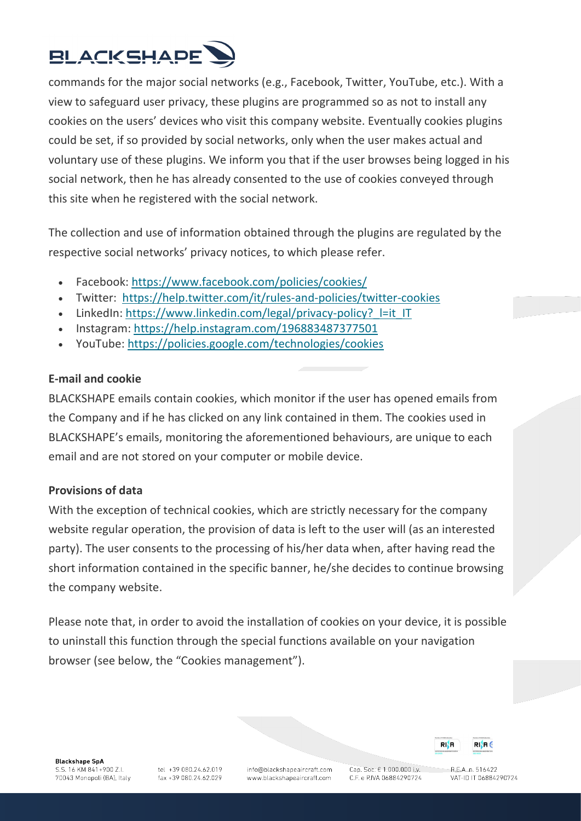

commands for the major social networks (e.g., Facebook, Twitter, YouTube, etc.). With a view to safeguard user privacy, these plugins are programmed so as not to install any cookies on the users' devices who visit this company website. Eventually cookies plugins could be set, if so provided by social networks, only when the user makes actual and voluntary use of these plugins. We inform you that if the user browses being logged in his social network, then he has already consented to the use of cookies conveyed through this site when he registered with the social network.

The collection and use of information obtained through the plugins are regulated by the respective social networks' privacy notices, to which please refer.

- Facebook: <https://www.facebook.com/policies/cookies/>
- Twitter: <https://help.twitter.com/it/rules-and-policies/twitter-cookies>
- LinkedIn: https://www.linkedin.com/legal/privacy-policy? l=it\_IT
- Instagram: <https://help.instagram.com/196883487377501>
- YouTube: <https://policies.google.com/technologies/cookies>

# **E-mail and cookie**

BLACKSHAPE emails contain cookies, which monitor if the user has opened emails from the Company and if he has clicked on any link contained in them. The cookies used in BLACKSHAPE's emails, monitoring the aforementioned behaviours, are unique to each email and are not stored on your computer or mobile device.

# **Provisions of data**

With the exception of technical cookies, which are strictly necessary for the company website regular operation, the provision of data is left to the user will (as an interested party). The user consents to the processing of his/her data when, after having read the short information contained in the specific banner, he/she decides to continue browsing the company website.

Please note that, in order to avoid the installation of cookies on your device, it is possible to uninstall this function through the special functions available on your navigation browser (see below, the "Cookies management").

**Blackshape SpA** S.S. 16 KM 841+900 Z.I. 70043 Monopoli (BA), Italy

tel: +39.080.24.62.019 fax +39 080.24.62.029 info@blackshapeaircraft.com www.blackshapeaircraft.com

Cap. Soc. € 1.000.000 i.v. C.F. e P.IVA 06884290724

 $RIAB6$ 

RIM

 $RFA$ n 516422 VAT-ID IT 06884290724